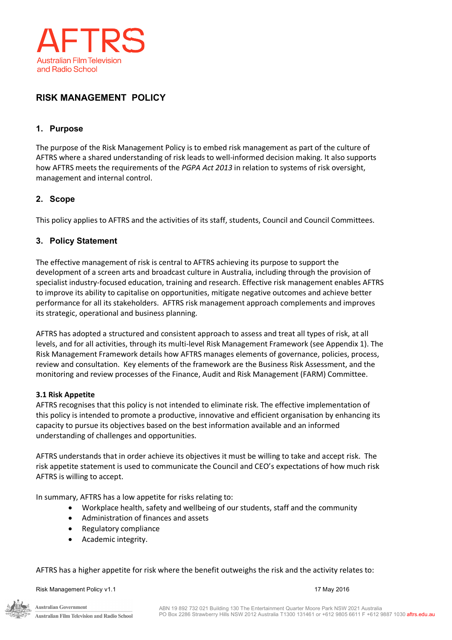

# **RISK MANAGEMENT POLICY**

## **1. Purpose**

The purpose of the Risk Management Policy is to embed risk management as part of the culture of AFTRS where a shared understanding of risk leads to well-informed decision making. It also supports how AFTRS meets the requirements of the *PGPA Act 2013* in relation to systems of risk oversight, management and internal control.

## **2. Scope**

This policy applies to AFTRS and the activities of its staff, students, Council and Council Committees.

### **3. Policy Statement**

The effective management of risk is central to AFTRS achieving its purpose to support the development of a screen arts and broadcast culture in Australia, including through the provision of specialist industry-focused education, training and research. Effective risk management enables AFTRS to improve its ability to capitalise on opportunities, mitigate negative outcomes and achieve better performance for all its stakeholders. AFTRS risk management approach complements and improves its strategic, operational and business planning.

AFTRS has adopted a structured and consistent approach to assess and treat all types of risk, at all levels, and for all activities, through its multi-level Risk Management Framework (see Appendix 1). The Risk Management Framework details how AFTRS manages elements of governance, policies, process, review and consultation. Key elements of the framework are the Business Risk Assessment, and the monitoring and review processes of the Finance, Audit and Risk Management (FARM) Committee.

#### **3.1 Risk Appetite**

AFTRS recognises that this policy is not intended to eliminate risk. The effective implementation of this policy is intended to promote a productive, innovative and efficient organisation by enhancing its capacity to pursue its objectives based on the best information available and an informed understanding of challenges and opportunities.

AFTRS understands that in order achieve its objectives it must be willing to take and accept risk. The risk appetite statement is used to communicate the Council and CEO's expectations of how much risk AFTRS is willing to accept.

In summary, AFTRS has a low appetite for risks relating to:

- Workplace health, safety and wellbeing of our students, staff and the community
- Administration of finances and assets
- Regulatory compliance
- Academic integrity.

AFTRS has a higher appetite for risk where the benefit outweighs the risk and the activity relates to:

Risk Management Policy v1.1 17 May 2016

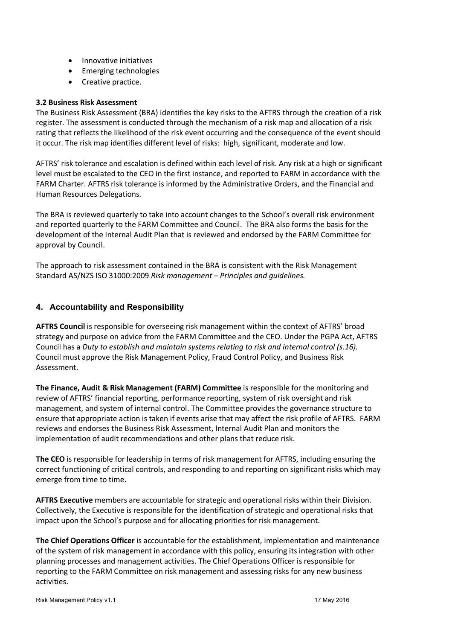- Innovative initiatives
- Emerging technologies
- Creative practice.

#### **3.2 Business Risk Assessment**

The Business Risk Assessment (BRA) identifies the key risks to the AFTRS through the creation of a risk register. The assessment is conducted through the mechanism of a risk map and allocation of a risk rating that reflects the likelihood of the risk event occurring and the consequence of the event should it occur. The risk map identifies different level of risks: high, significant, moderate and low.

AFTRS' risk tolerance and escalation is defined within each level of risk. Any risk at a high or significant level must be escalated to the CEO in the first instance, and reported to FARM in accordance with the FARM Charter. AFTRS risk tolerance is informed by the Administrative Orders, and the Financial and Human Resources Delegations.

The BRA is reviewed quarterly to take into account changes to the School's overall risk environment and reported quarterly to the FARM Committee and Council. The BRA also forms the basis for the development of the Internal Audit Plan that is reviewed and endorsed by the FARM Committee for approval by Council.

The approach to risk assessment contained in the BRA is consistent with the Risk Management Standard AS/NZS ISO 31000:2009 *Risk management – Principles and guidelines.*

### **4. Accountability and Responsibility**

**AFTRS Council** is responsible for overseeing risk management within the context of AFTRS' broad strategy and purpose on advice from the FARM Committee and the CEO. Under the PGPA Act, AFTRS Council has a *Duty to establish and maintain systems relating to risk and internal control (s.16).* Council must approve the Risk Management Policy, Fraud Control Policy, and Business Risk Assessment.

**The Finance, Audit & Risk Management (FARM) Committee** is responsible for the monitoring and review of AFTRS' financial reporting, performance reporting, system of risk oversight and risk management, and system of internal control. The Committee provides the governance structure to ensure that appropriate action is taken if events arise that may affect the risk profile of AFTRS. FARM reviews and endorses the Business Risk Assessment, Internal Audit Plan and monitors the implementation of audit recommendations and other plans that reduce risk.

**The CEO** is responsible for leadership in terms of risk management for AFTRS, including ensuring the correct functioning of critical controls, and responding to and reporting on significant risks which may emerge from time to time.

**AFTRS Executive** members are accountable for strategic and operational risks within their Division. Collectively, the Executive is responsible for the identification of strategic and operational risks that impact upon the School's purpose and for allocating priorities for risk management.

**The Chief Operations Officer** is accountable for the establishment, implementation and maintenance of the system of risk management in accordance with this policy, ensuring its integration with other planning processes and management activities. The Chief Operations Officer is responsible for reporting to the FARM Committee on risk management and assessing risks for any new business activities.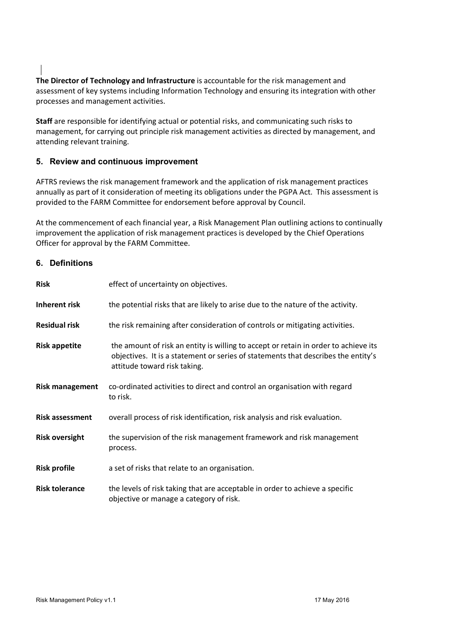**The Director of Technology and Infrastructure** is accountable for the risk management and assessment of key systems including Information Technology and ensuring its integration with other processes and management activities.

**Staff** are responsible for identifying actual or potential risks, and communicating such risks to management, for carrying out principle risk management activities as directed by management, and attending relevant training.

### **5. Review and continuous improvement**

AFTRS reviews the risk management framework and the application of risk management practices annually as part of it consideration of meeting its obligations under the PGPA Act. This assessment is provided to the FARM Committee for endorsement before approval by Council.

At the commencement of each financial year, a Risk Management Plan outlining actions to continually improvement the application of risk management practices is developed by the Chief Operations Officer for approval by the FARM Committee.

#### **6. Definitions**

| <b>Risk</b>            | effect of uncertainty on objectives.                                                                                                                                                                     |  |  |  |
|------------------------|----------------------------------------------------------------------------------------------------------------------------------------------------------------------------------------------------------|--|--|--|
| Inherent risk          | the potential risks that are likely to arise due to the nature of the activity.                                                                                                                          |  |  |  |
| <b>Residual risk</b>   | the risk remaining after consideration of controls or mitigating activities.                                                                                                                             |  |  |  |
| <b>Risk appetite</b>   | the amount of risk an entity is willing to accept or retain in order to achieve its<br>objectives. It is a statement or series of statements that describes the entity's<br>attitude toward risk taking. |  |  |  |
| <b>Risk management</b> | co-ordinated activities to direct and control an organisation with regard<br>to risk.                                                                                                                    |  |  |  |
| <b>Risk assessment</b> | overall process of risk identification, risk analysis and risk evaluation.                                                                                                                               |  |  |  |
| <b>Risk oversight</b>  | the supervision of the risk management framework and risk management<br>process.                                                                                                                         |  |  |  |
| <b>Risk profile</b>    | a set of risks that relate to an organisation.                                                                                                                                                           |  |  |  |
| <b>Risk tolerance</b>  | the levels of risk taking that are acceptable in order to achieve a specific<br>objective or manage a category of risk.                                                                                  |  |  |  |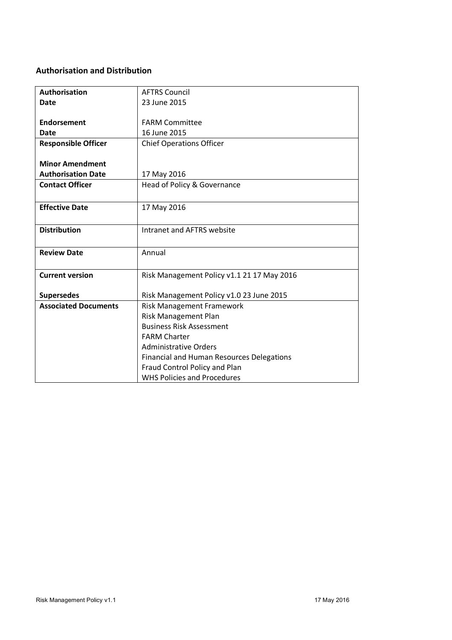## **Authorisation and Distribution**

| <b>Authorisation</b>        | <b>AFTRS Council</b>                             |  |  |  |
|-----------------------------|--------------------------------------------------|--|--|--|
| <b>Date</b>                 | 23 June 2015                                     |  |  |  |
|                             |                                                  |  |  |  |
| Endorsement                 | <b>FARM Committee</b>                            |  |  |  |
| Date                        | 16 June 2015                                     |  |  |  |
| <b>Responsible Officer</b>  | <b>Chief Operations Officer</b>                  |  |  |  |
|                             |                                                  |  |  |  |
| <b>Minor Amendment</b>      |                                                  |  |  |  |
| <b>Authorisation Date</b>   | 17 May 2016                                      |  |  |  |
| <b>Contact Officer</b>      | Head of Policy & Governance                      |  |  |  |
|                             |                                                  |  |  |  |
| <b>Effective Date</b>       | 17 May 2016                                      |  |  |  |
|                             |                                                  |  |  |  |
| <b>Distribution</b>         | Intranet and AFTRS website                       |  |  |  |
|                             |                                                  |  |  |  |
| <b>Review Date</b>          | Annual                                           |  |  |  |
|                             |                                                  |  |  |  |
| <b>Current version</b>      |                                                  |  |  |  |
|                             | Risk Management Policy v1.1 21 17 May 2016       |  |  |  |
| <b>Supersedes</b>           | Risk Management Policy v1.0 23 June 2015         |  |  |  |
| <b>Associated Documents</b> | <b>Risk Management Framework</b>                 |  |  |  |
|                             | Risk Management Plan                             |  |  |  |
|                             | <b>Business Risk Assessment</b>                  |  |  |  |
|                             | <b>FARM Charter</b>                              |  |  |  |
|                             |                                                  |  |  |  |
|                             | <b>Administrative Orders</b>                     |  |  |  |
|                             | <b>Financial and Human Resources Delegations</b> |  |  |  |
|                             | Fraud Control Policy and Plan                    |  |  |  |
|                             | <b>WHS Policies and Procedures</b>               |  |  |  |